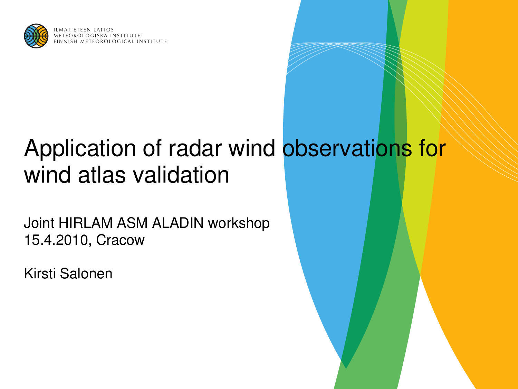

**MATIETEEN LAITOS** A INSTITUTET METEOROLOGICAL INSTITUTE

# Application of radar wind observations for wind atlas validation

Joint HIRLAM ASM ALADIN workshop 15.4.2010, Cracow

Kirsti Salonen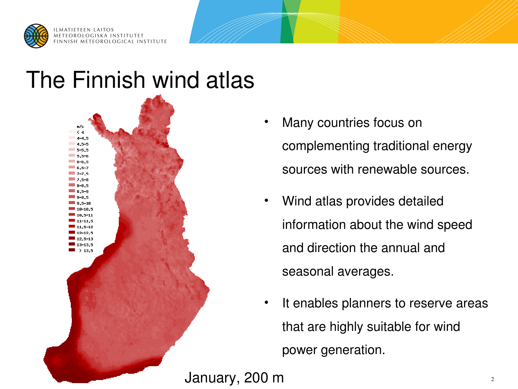

### The Finnish wind atlas



- Many countries focus on complementing traditional energy sources with renewable sources.
- Wind atlas provides detailed information about the wind speed and direction the annual and seasonal averages.
- It enables planners to reserve areas that are highly suitable for wind power generation.

January, 200 m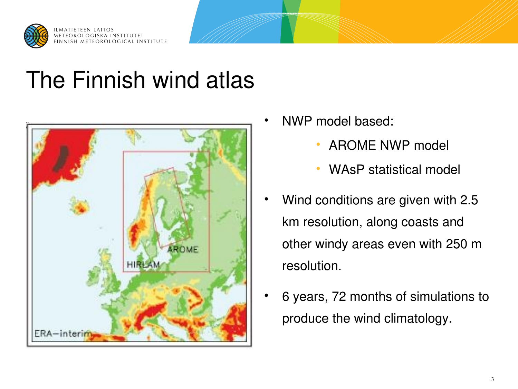

# The Finnish wind atlas



- NWP model based:
	- AROME NWP model
	- WAsP statistical model
- Wind conditions are given with 2.5 km resolution, along coasts and other windy areas even with 250 m resolution.
- 6 years, 72 months of simulations to produce the wind climatology.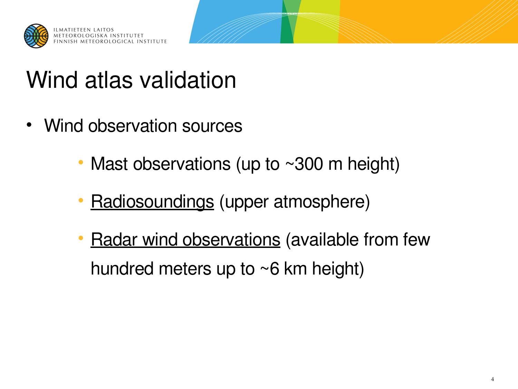

# Wind atlas validation

- Wind observation sources
	- Mast observations (up to ~300 m height)
	- **Radiosoundings (upper atmosphere)**
	- **Radar wind observations (available from few** hundred meters up to ~6 km height)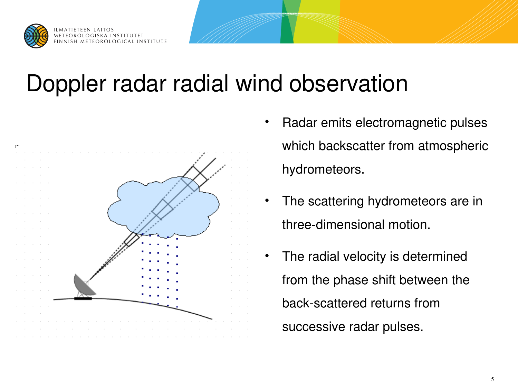

# Doppler radar radial wind observation



- Radar emits electromagnetic pulses which backscatter from atmospheric hydrometeors.
- The scattering hydrometeors are in three-dimensional motion.
- The radial velocity is determined from the phase shift between the back-scattered returns from successive radar pulses.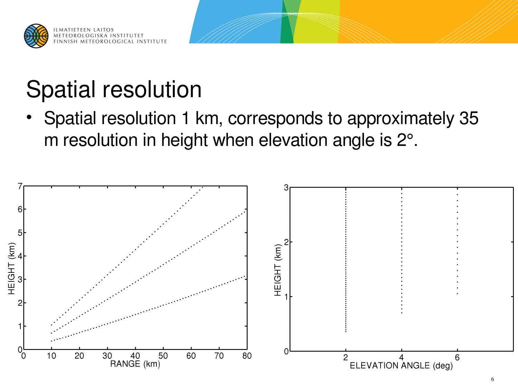

# Spatial resolution

• Spatial resolution 1 km, corresponds to approximately 35 m resolution in height when elevation angle is  $2^\circ$ .

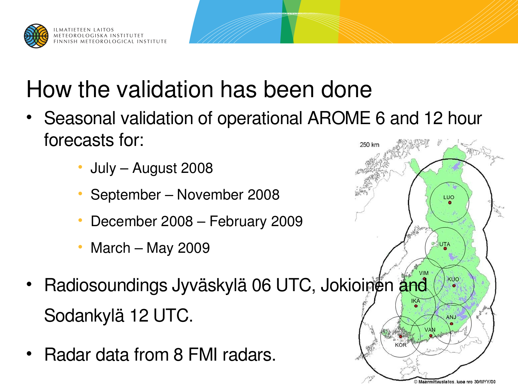

# How the validation has been done

- Seasonal validation of operational AROME 6 and 12 hour forecasts for: 250 kg
	- July August 2008
	- September November 2008
	- December 2008 February 2009
	- March May 2009
- Radiosoundings Jyväskylä 06 UTC, Jokioinen and Sodankylä 12 UTC.
- Radar data from 8 FMI radars.

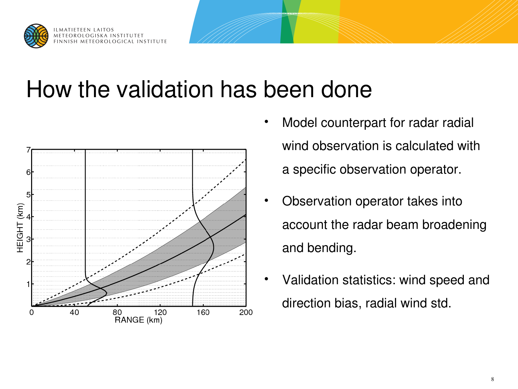

# How the validation has been done



- Model counterpart for radar radial wind observation is calculated with a specific observation operator.
- Observation operator takes into account the radar beam broadening and bending.
- Validation statistics: wind speed and direction bias, radial wind std.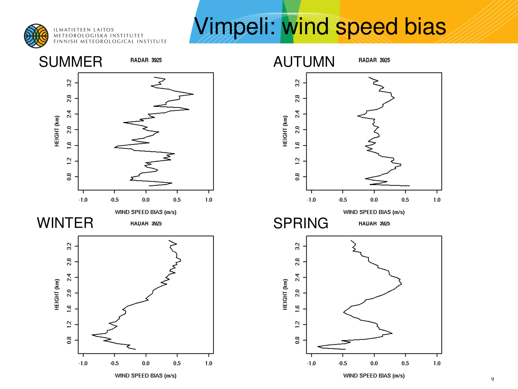

ILMATIETEEN LAITOS<br>METEOROLOGISKA INSTITUTET FINNISH METEOROLOGICAL INSTITUTE

# Vimpeli: wind speed bias

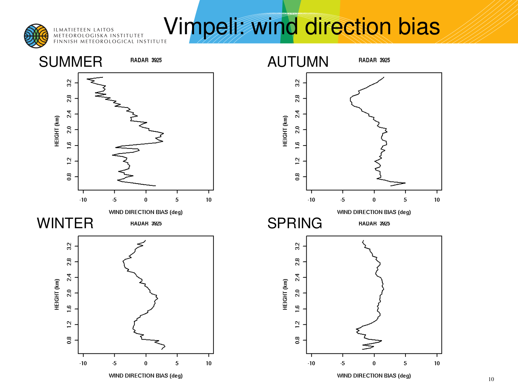

ILMATIETEEN LAITOS **ILMATILILLIN LATIOS**<br>METEOROLOGISKA INSTITUTET

# ILMATIETEEN LAITOS **STITUTET VIMPELI: Wind direction bias**

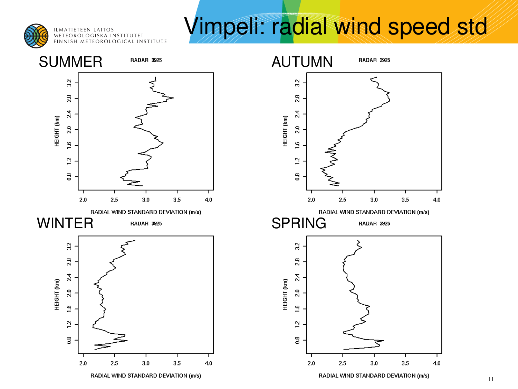

**ILMATIETEEN LAITOS** METEOROLOGISKA INSTITUTET FINNISH METEOROLOGICAL INSTITUTE

# Vimpeli: radial wind speed std

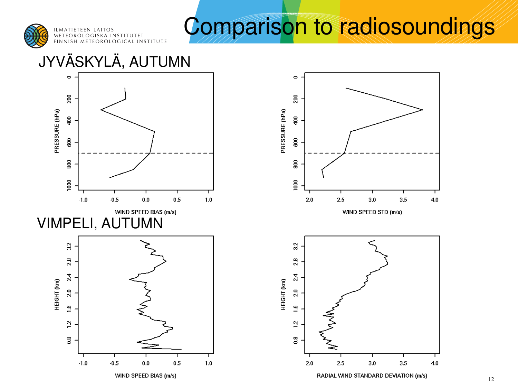

# Comparison to radiosoundings

#### JYVÄSKYLÄ, AUTUMN



 $4.0$ 

 $4.0$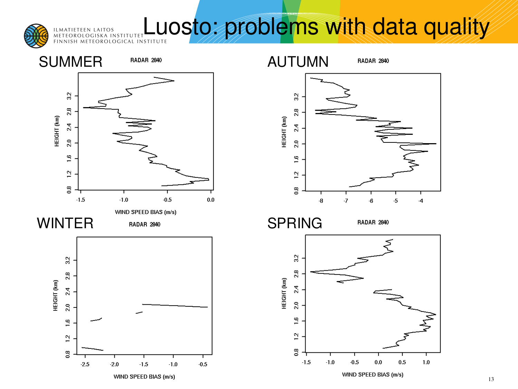

#### **LUOSto: problems With data quality** ILMATIETEEN LAITOS<br>METEOROLOGISKA INSTITUTET